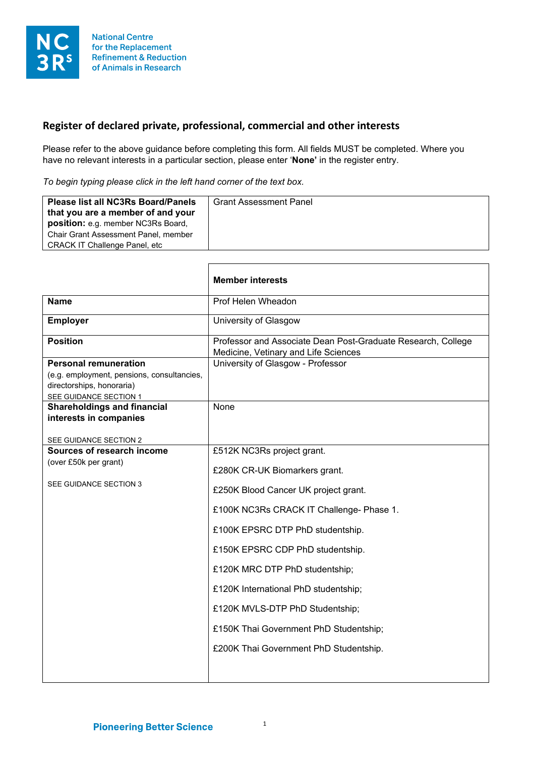

## **Register of declared private, professional, commercial and other interests**

Г

Please refer to the above guidance before completing this form. All fields MUST be completed. Where you have no relevant interests in a particular section, please enter '**None'** in the register entry.

*To begin typing please click in the left hand corner of the text box.*

| <b>Please list all NC3Rs Board/Panels</b><br>that you are a member of and your<br>position: e.g. member NC3Rs Board,<br><b>Chair Grant Assessment Panel, member</b><br><b>CRACK IT Challenge Panel, etc</b> | <b>Grant Assessment Panel</b> |
|-------------------------------------------------------------------------------------------------------------------------------------------------------------------------------------------------------------|-------------------------------|
|-------------------------------------------------------------------------------------------------------------------------------------------------------------------------------------------------------------|-------------------------------|

٦

|                                                                                                                                   | <b>Member interests</b>                                                                                                                                                                                                                                                                                                                                                                                                  |
|-----------------------------------------------------------------------------------------------------------------------------------|--------------------------------------------------------------------------------------------------------------------------------------------------------------------------------------------------------------------------------------------------------------------------------------------------------------------------------------------------------------------------------------------------------------------------|
| <b>Name</b>                                                                                                                       | Prof Helen Wheadon                                                                                                                                                                                                                                                                                                                                                                                                       |
| <b>Employer</b>                                                                                                                   | University of Glasgow                                                                                                                                                                                                                                                                                                                                                                                                    |
| <b>Position</b>                                                                                                                   | Professor and Associate Dean Post-Graduate Research, College<br>Medicine, Vetinary and Life Sciences                                                                                                                                                                                                                                                                                                                     |
| <b>Personal remuneration</b><br>(e.g. employment, pensions, consultancies,<br>directorships, honoraria)<br>SEE GUIDANCE SECTION 1 | University of Glasgow - Professor                                                                                                                                                                                                                                                                                                                                                                                        |
| <b>Shareholdings and financial</b><br>interests in companies                                                                      | None                                                                                                                                                                                                                                                                                                                                                                                                                     |
| SEE GUIDANCE SECTION 2<br>Sources of research income<br>(over £50k per grant)<br>SEE GUIDANCE SECTION 3                           | £512K NC3Rs project grant.<br>£280K CR-UK Biomarkers grant.<br>£250K Blood Cancer UK project grant.<br>£100K NC3Rs CRACK IT Challenge- Phase 1.<br>£100K EPSRC DTP PhD studentship.<br>£150K EPSRC CDP PhD studentship.<br>£120K MRC DTP PhD studentship;<br>£120K International PhD studentship;<br>£120K MVLS-DTP PhD Studentship;<br>£150K Thai Government PhD Studentship;<br>£200K Thai Government PhD Studentship. |